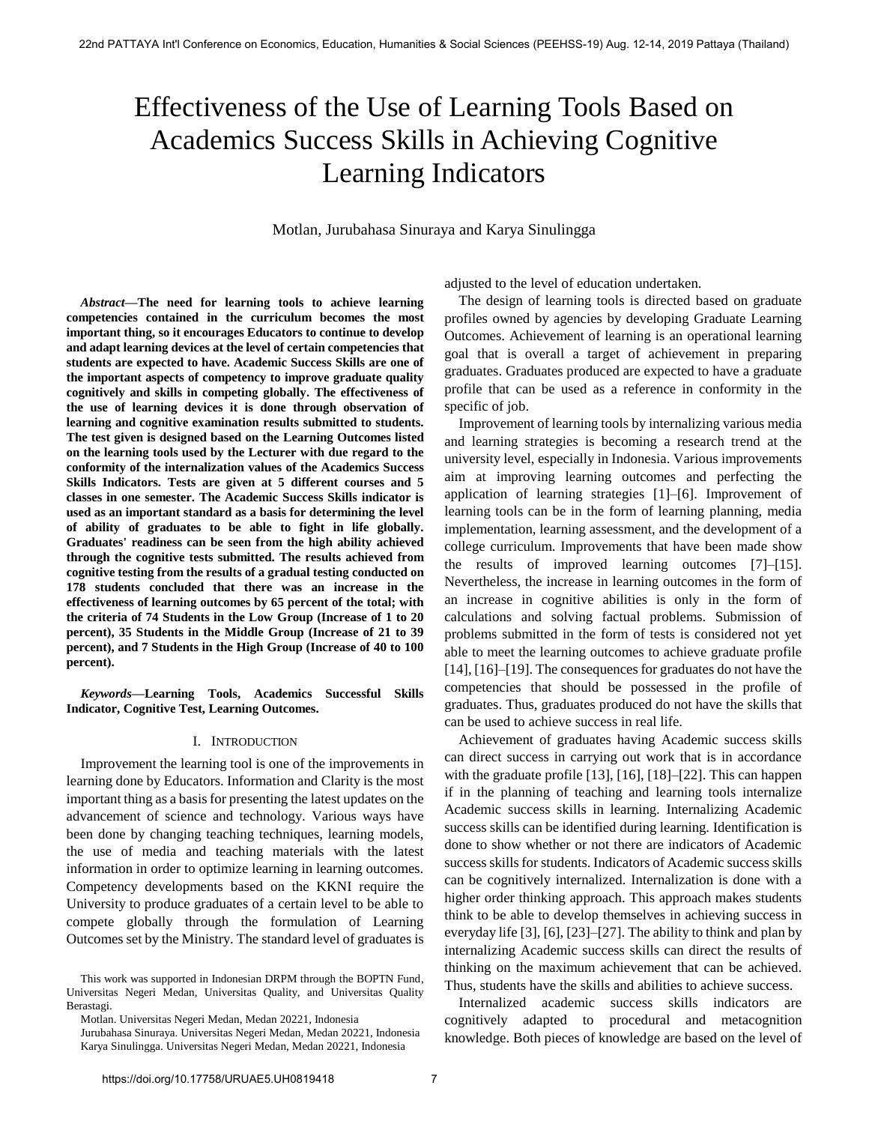# Effectiveness of the Use of Learning Tools Based on Academics Success Skills in Achieving Cognitive Learning Indicators

Motlan, Jurubahasa Sinuraya and Karya Sinulingga

*Abstract***—The need for learning tools to achieve learning competencies contained in the curriculum becomes the most important thing, so it encourages Educators to continue to develop and adapt learning devices at the level of certain competencies that students are expected to have. Academic Success Skills are one of the important aspects of competency to improve graduate quality cognitively and skills in competing globally. The effectiveness of the use of learning devices it is done through observation of learning and cognitive examination results submitted to students. The test given is designed based on the Learning Outcomes listed on the learning tools used by the Lecturer with due regard to the conformity of the internalization values of the Academics Success Skills Indicators. Tests are given at 5 different courses and 5 classes in one semester. The Academic Success Skills indicator is used as an important standard as a basis for determining the level of ability of graduates to be able to fight in life globally. Graduates' readiness can be seen from the high ability achieved through the cognitive tests submitted. The results achieved from cognitive testing from the results of a gradual testing conducted on 178 students concluded that there was an increase in the effectiveness of learning outcomes by 65 percent of the total; with the criteria of 74 Students in the Low Group (Increase of 1 to 20 percent), 35 Students in the Middle Group (Increase of 21 to 39 percent), and 7 Students in the High Group (Increase of 40 to 100 percent).** 

*Keywords***—Learning Tools, Academics Successful Skills Indicator, Cognitive Test, Learning Outcomes.** 

#### I. INTRODUCTION

Improvement the learning tool is one of the improvements in learning done by Educators. Information and Clarity is the most important thing as a basis for presenting the latest updates on the advancement of science and technology. Various ways have been done by changing teaching techniques, learning models, the use of media and teaching materials with the latest information in order to optimize learning in learning outcomes. Competency developments based on the KKNI require the University to produce graduates of a certain level to be able to compete globally through the formulation of Learning Outcomes set by the Ministry. The standard level of graduates is adjusted to the level of education undertaken.

The design of learning tools is directed based on graduate profiles owned by agencies by developing Graduate Learning Outcomes. Achievement of learning is an operational learning goal that is overall a target of achievement in preparing graduates. Graduates produced are expected to have a graduate profile that can be used as a reference in conformity in the specific of job.

Improvement of learning tools by internalizing various media and learning strategies is becoming a research trend at the university level, especially in Indonesia. Various improvements aim at improving learning outcomes and perfecting the application of learning strategies [1]–[6]. Improvement of learning tools can be in the form of learning planning, media implementation, learning assessment, and the development of a college curriculum. Improvements that have been made show the results of improved learning outcomes [7]–[15]. Nevertheless, the increase in learning outcomes in the form of an increase in cognitive abilities is only in the form of calculations and solving factual problems. Submission of problems submitted in the form of tests is considered not yet able to meet the learning outcomes to achieve graduate profile [14], [16]–[19]. The consequences for graduates do not have the competencies that should be possessed in the profile of graduates. Thus, graduates produced do not have the skills that can be used to achieve success in real life.

Achievement of graduates having Academic success skills can direct success in carrying out work that is in accordance with the graduate profile [13], [16], [18]–[22]. This can happen if in the planning of teaching and learning tools internalize Academic success skills in learning. Internalizing Academic success skills can be identified during learning. Identification is done to show whether or not there are indicators of Academic success skills for students. Indicators of Academic success skills can be cognitively internalized. Internalization is done with a higher order thinking approach. This approach makes students think to be able to develop themselves in achieving success in everyday life [3], [6], [23]–[27]. The ability to think and plan by internalizing Academic success skills can direct the results of thinking on the maximum achievement that can be achieved. Thus, students have the skills and abilities to achieve success.

Internalized academic success skills indicators are cognitively adapted to procedural and metacognition knowledge. Both pieces of knowledge are based on the level of

This work was supported in Indonesian DRPM through the BOPTN Fund, Universitas Negeri Medan, Universitas Quality, and Universitas Quality Berastagi.

Motlan. Universitas Negeri Medan, Medan 20221, Indonesia

Jurubahasa Sinuraya. Universitas Negeri Medan, Medan 20221, Indonesia Karya Sinulingga. Universitas Negeri Medan, Medan 20221, Indonesia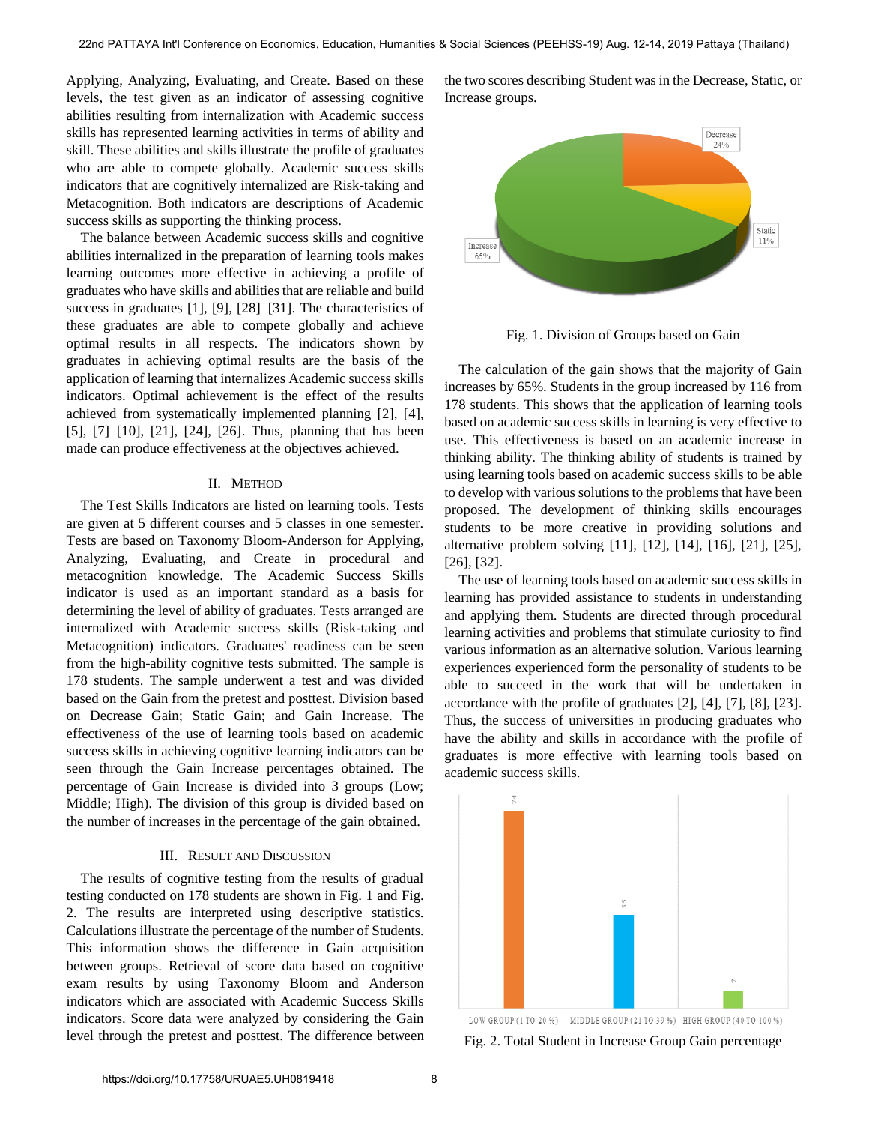Applying, Analyzing, Evaluating, and Create. Based on these levels, the test given as an indicator of assessing cognitive abilities resulting from internalization with Academic success skills has represented learning activities in terms of ability and skill. These abilities and skills illustrate the profile of graduates who are able to compete globally. Academic success skills indicators that are cognitively internalized are Risk-taking and Metacognition. Both indicators are descriptions of Academic success skills as supporting the thinking process.

The balance between Academic success skills and cognitive abilities internalized in the preparation of learning tools makes learning outcomes more effective in achieving a profile of graduates who have skills and abilities that are reliable and build success in graduates [1], [9], [28]–[31]. The characteristics of these graduates are able to compete globally and achieve optimal results in all respects. The indicators shown by graduates in achieving optimal results are the basis of the application of learning that internalizes Academic success skills indicators. Optimal achievement is the effect of the results achieved from systematically implemented planning [2], [4], [5], [7]–[10], [21], [24], [26]. Thus, planning that has been made can produce effectiveness at the objectives achieved.

#### II. METHOD

The Test Skills Indicators are listed on learning tools. Tests are given at 5 different courses and 5 classes in one semester. Tests are based on Taxonomy Bloom-Anderson for Applying, Analyzing, Evaluating, and Create in procedural and metacognition knowledge. The Academic Success Skills indicator is used as an important standard as a basis for determining the level of ability of graduates. Tests arranged are internalized with Academic success skills (Risk-taking and Metacognition) indicators. Graduates' readiness can be seen from the high-ability cognitive tests submitted. The sample is 178 students. The sample underwent a test and was divided based on the Gain from the pretest and posttest. Division based on Decrease Gain; Static Gain; and Gain Increase. The effectiveness of the use of learning tools based on academic success skills in achieving cognitive learning indicators can be seen through the Gain Increase percentages obtained. The percentage of Gain Increase is divided into 3 groups (Low; Middle; High). The division of this group is divided based on the number of increases in the percentage of the gain obtained.

#### III. RESULT AND DISCUSSION

The results of cognitive testing from the results of gradual testing conducted on 178 students are shown in Fig. 1 and Fig. 2. The results are interpreted using descriptive statistics. Calculations illustrate the percentage of the number of Students. This information shows the difference in Gain acquisition between groups. Retrieval of score data based on cognitive exam results by using Taxonomy Bloom and Anderson indicators which are associated with Academic Success Skills indicators. Score data were analyzed by considering the Gain level through the pretest and posttest. The difference between the two scores describing Student was in the Decrease, Static, or Increase groups.



Fig. 1. Division of Groups based on Gain

The calculation of the gain shows that the majority of Gain increases by 65%. Students in the group increased by 116 from 178 students. This shows that the application of learning tools based on academic success skills in learning is very effective to use. This effectiveness is based on an academic increase in thinking ability. The thinking ability of students is trained by using learning tools based on academic success skills to be able to develop with various solutions to the problems that have been proposed. The development of thinking skills encourages students to be more creative in providing solutions and alternative problem solving [11], [12], [14], [16], [21], [25], [26], [32].

The use of learning tools based on academic success skills in learning has provided assistance to students in understanding and applying them. Students are directed through procedural learning activities and problems that stimulate curiosity to find various information as an alternative solution. Various learning experiences experienced form the personality of students to be able to succeed in the work that will be undertaken in accordance with the profile of graduates [2], [4], [7], [8], [23]. Thus, the success of universities in producing graduates who have the ability and skills in accordance with the profile of graduates is more effective with learning tools based on academic success skills.



LOW GROUP (1 TO 20 %) MIDDLE GROUP (21 TO 39 %) HIGH GROUP (40 TO 100 %) Fig. 2. Total Student in Increase Group Gain percentage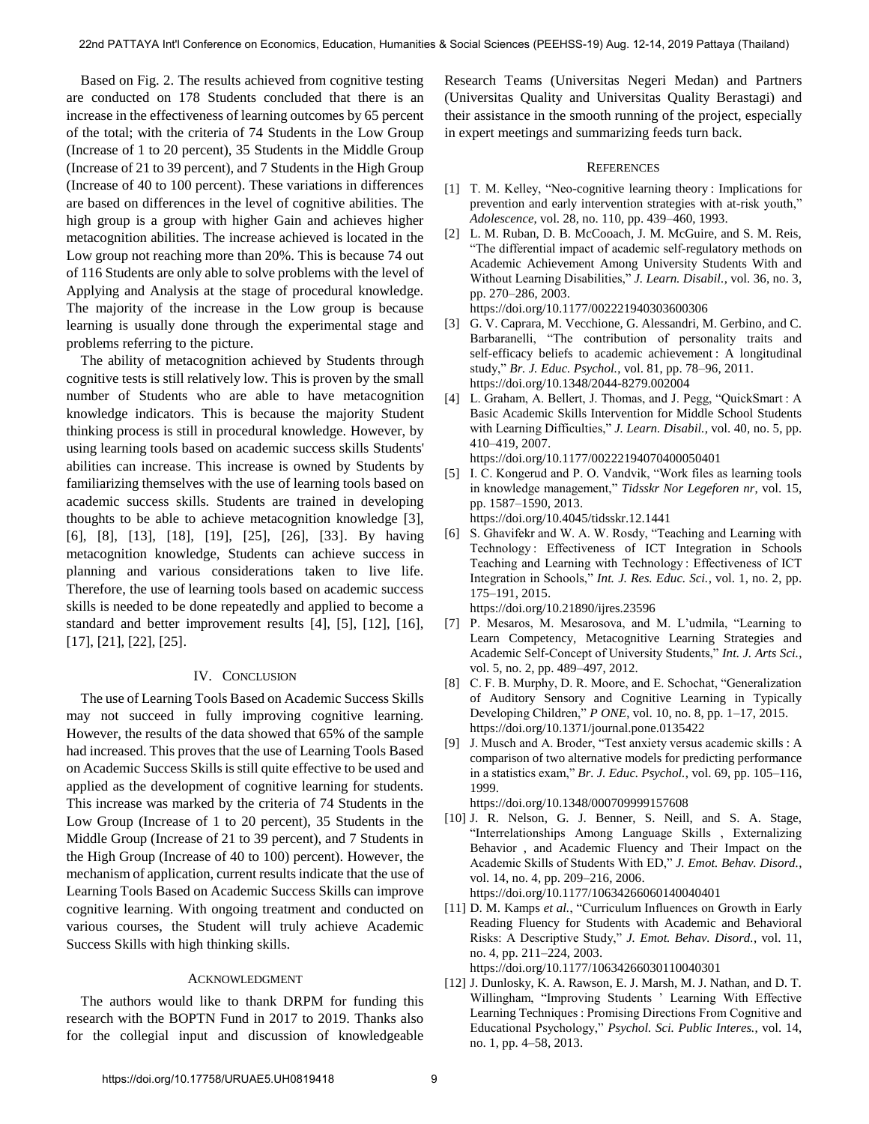Based on Fig. 2. The results achieved from cognitive testing are conducted on 178 Students concluded that there is an increase in the effectiveness of learning outcomes by 65 percent of the total; with the criteria of 74 Students in the Low Group (Increase of 1 to 20 percent), 35 Students in the Middle Group (Increase of 21 to 39 percent), and 7 Students in the High Group (Increase of 40 to 100 percent). These variations in differences are based on differences in the level of cognitive abilities. The high group is a group with higher Gain and achieves higher metacognition abilities. The increase achieved is located in the Low group not reaching more than 20%. This is because 74 out of 116 Students are only able to solve problems with the level of Applying and Analysis at the stage of procedural knowledge. The majority of the increase in the Low group is because learning is usually done through the experimental stage and problems referring to the picture.

The ability of metacognition achieved by Students through cognitive tests is still relatively low. This is proven by the small number of Students who are able to have metacognition knowledge indicators. This is because the majority Student thinking process is still in procedural knowledge. However, by using learning tools based on academic success skills Students' abilities can increase. This increase is owned by Students by familiarizing themselves with the use of learning tools based on academic success skills. Students are trained in developing thoughts to be able to achieve metacognition knowledge [3], [6], [8], [13], [18], [19], [25], [26], [33]. By having metacognition knowledge, Students can achieve success in planning and various considerations taken to live life. Therefore, the use of learning tools based on academic success skills is needed to be done repeatedly and applied to become a standard and better improvement results [4], [5], [12], [16], [17], [21], [22], [25].

### IV. CONCLUSION

The use of Learning Tools Based on Academic Success Skills may not succeed in fully improving cognitive learning. However, the results of the data showed that 65% of the sample had increased. This proves that the use of Learning Tools Based on Academic Success Skills is still quite effective to be used and applied as the development of cognitive learning for students. This increase was marked by the criteria of 74 Students in the Low Group (Increase of 1 to 20 percent), 35 Students in the Middle Group (Increase of 21 to 39 percent), and 7 Students in the High Group (Increase of 40 to 100) percent). However, the mechanism of application, current results indicate that the use of Learning Tools Based on Academic Success Skills can improve cognitive learning. With ongoing treatment and conducted on various courses, the Student will truly achieve Academic Success Skills with high thinking skills.

## ACKNOWLEDGMENT

The authors would like to thank DRPM for funding this research with the BOPTN Fund in 2017 to 2019. Thanks also for the collegial input and discussion of knowledgeable Research Teams (Universitas Negeri Medan) and Partners (Universitas Quality and Universitas Quality Berastagi) and their assistance in the smooth running of the project, especially in expert meetings and summarizing feeds turn back.

#### **REFERENCES**

- [1] T. M. Kelley, "Neo-cognitive learning theory : Implications for prevention and early intervention strategies with at-risk youth," *Adolescence*, vol. 28, no. 110, pp. 439–460, 1993.
- [2] [L. M. Ruban, D. B. McCooach, J. M. McGuire, and S. M. Reis,](https://doi.org/10.1177/002221940303600306)  ["The differential impact of academic self-regulatory methods on](https://doi.org/10.1177/002221940303600306)  [Academic Achievement Among University Students With and](https://doi.org/10.1177/002221940303600306)  [Without Learning Disabilities,"](https://doi.org/10.1177/002221940303600306) *J. Learn. Disabil.*, vol. 36, no. 3, [pp. 270–286, 2003.](https://doi.org/10.1177/002221940303600306)  https://doi.org/10.1177/002221940303600306
- [3] [G. V. Caprara, M. Vecchione, G. Alessandri, M. Gerbino, and C.](https://doi.org/10.1348/2044-8279.002004)  [Barbaranelli, "The contribution of personality traits and](https://doi.org/10.1348/2044-8279.002004)  [self-efficacy beliefs to academic achievement](https://doi.org/10.1348/2044-8279.002004) : A longitudinal study," *Br. J. Educ. Psychol.*[, vol. 81, pp. 78–96, 2011.](https://doi.org/10.1348/2044-8279.002004) https://doi.org/10.1348/2044-8279.002004
- [4] L. Graham, A. Bellert, J. Thomas, and J. Pegg, "QuickSmart: A [Basic Academic Skills Intervention for Middle School Students](https://doi.org/10.1177/00222194070400050401)  [with Learning Difficulties,"](https://doi.org/10.1177/00222194070400050401) *J. Learn. Disabil.*, vol. 40, no. 5, pp. [410–419, 2007.](https://doi.org/10.1177/00222194070400050401) https://doi.org/10.1177/00222194070400050401
- [5] [I. C. Kongerud and P. O. Vandvik, "Work files as learning tools](https://doi.org/10.4045/tidsskr.12.1441)  [in knowledge management,"](https://doi.org/10.4045/tidsskr.12.1441) *Tidsskr Nor Legeforen nr*, vol. 15, [pp. 1587–1590, 2013.](https://doi.org/10.4045/tidsskr.12.1441)

https://doi.org/10.4045/tidsskr.12.1441

[6] [S. Ghavifekr and W. A. W. Rosdy, "Teaching and Learning with](https://doi.org/10.21890/ijres.23596)  [Technology : Effectiveness of ICT Integration in Schools](https://doi.org/10.21890/ijres.23596)  [Teaching and Learning with Technology : Effectiveness of ICT](https://doi.org/10.21890/ijres.23596)  [Integration in Schools,"](https://doi.org/10.21890/ijres.23596) *Int. J. Res. Educ. Sci.*, vol. 1, no. 2, pp. [175–191, 2015.](https://doi.org/10.21890/ijres.23596)

https://doi.org/10.21890/ijres.23596

- [7] P. Mesaros, M. Mesarosova, and M. L'udmila, "Learning to Learn Competency, Metacognitive Learning Strategies and Academic Self-Concept of University Students," *Int. J. Arts Sci.*, vol. 5, no. 2, pp. 489–497, 2012.
- [8] [C. F. B. Murphy, D. R. Moore, and E. Schochat, "Generalization](https://doi.org/10.1371/journal.pone.0135422)  [of Auditory Sensory and Cognitive Learning in Typically](https://doi.org/10.1371/journal.pone.0135422)  Developing Children," *P ONE*[, vol. 10, no. 8, pp. 1–17, 2015.](https://doi.org/10.1371/journal.pone.0135422)  https://doi.org/10.1371/journal.pone.0135422
- [9] [J. Musch and A. Broder, "Test anxiety versus academic skills : A](https://doi.org/10.1348/000709999157608)  [comparison of two alternative models for predicting performance](https://doi.org/10.1348/000709999157608)  in a statistics exam," *Br. J. Educ. Psychol.*[, vol. 69, pp. 105–116,](https://doi.org/10.1348/000709999157608)  [1999.](https://doi.org/10.1348/000709999157608)

https://doi.org/10.1348/000709999157608

- [10] [J. R. Nelson, G. J. Benner, S. Neill, and S. A. Stage,](https://doi.org/10.1177/10634266060140040401)  ["Interrelationships Among Language Skills , Externalizing](https://doi.org/10.1177/10634266060140040401)  [Behavior , and Academic Fluency and Their Impact on the](https://doi.org/10.1177/10634266060140040401)  [Academic Skills of Students With ED,"](https://doi.org/10.1177/10634266060140040401) *J. Emot. Behav. Disord.*, [vol. 14, no. 4, pp. 209–216, 2006.](https://doi.org/10.1177/10634266060140040401) https://doi.org/10.1177/10634266060140040401
- [11] D. M. Kamps *et al.*, "Curriculum Influences on Growth in Early [Reading Fluency for Students with Academic and Behavioral](https://doi.org/10.1177/10634266030110040301)  [Risks: A Descriptive Study,"](https://doi.org/10.1177/10634266030110040301) *J. Emot. Behav. Disord.*, vol. 11, [no. 4, pp. 211–224, 2003.](https://doi.org/10.1177/10634266030110040301)

https://doi.org/10.1177/10634266030110040301

[12] [J. Dunlosky, K. A. Rawson, E. J. Marsh, M. J. Nathan, and D. T.](https://doi.org/10.1177/1529100612453266)  [Willingham, "Improving Students " Learning With Effective](https://doi.org/10.1177/1529100612453266)  [Learning Techniques : Promising Directions From Cognitive and](https://doi.org/10.1177/1529100612453266)  Educational Psychology," *[Psychol. Sci. Public Interes.](https://doi.org/10.1177/1529100612453266)*, vol. 14, [no. 1, pp. 4–58, 2013.](https://doi.org/10.1177/1529100612453266)